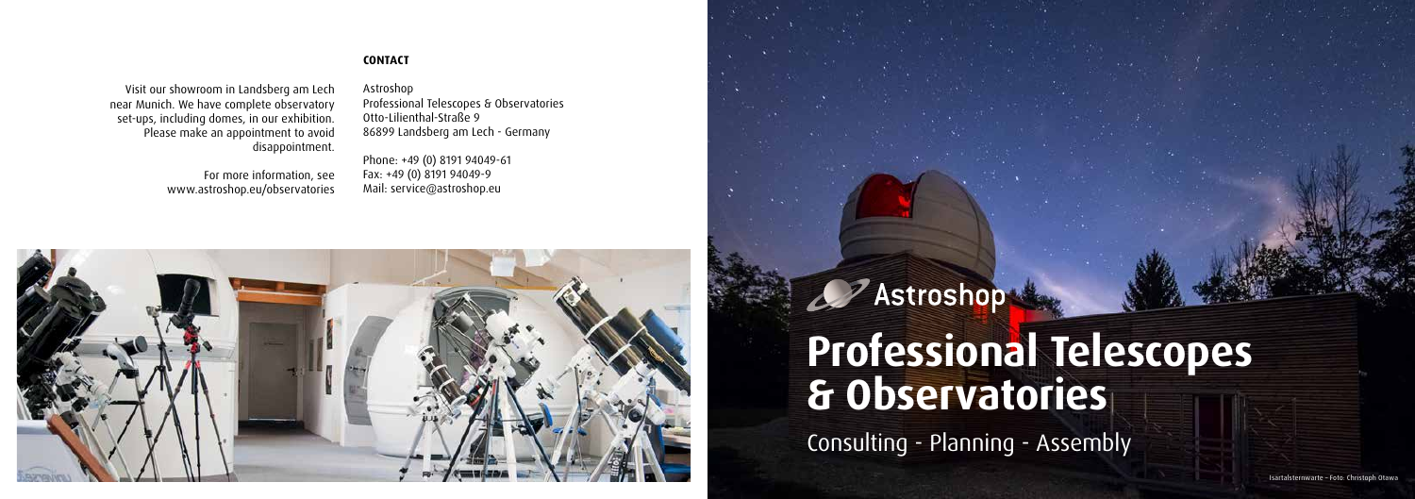Visit our showroom in Landsberg am Lech near Munich. We have complete observatory set-ups, including domes, in our exhibition. Please make an appointment to avoid disappointment. Astroshop Professional Telescopes & Observatories Otto-Lilienthal-Straße 9 86899 Landsberg am Lech - Germany

# For more information, see www.astroshop.eu/observatories



# **CONTACT**

Phone: +49 (0) 8191 94049-61 Fax: +49 (0) 8191 94049-9 Mail: service@astroshop.eu



Isartalsternwarte – Foto: Christoph Otawa